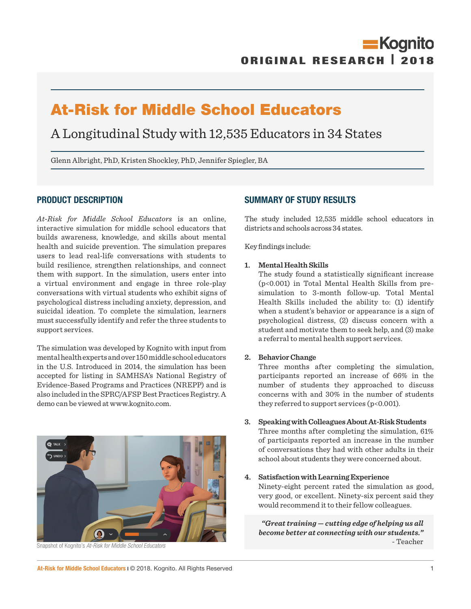# At-Risk for Middle School Educators

A Longitudinal Study with 12,535 Educators in 34 States

Glenn Albright, PhD, Kristen Shockley, PhD, Jennifer Spiegler, BA

## PRODUCT DESCRIPTION

*At-Risk for Middle School Educators* is an online, interactive simulation for middle school educators that builds awareness, knowledge, and skills about mental health and suicide prevention. The simulation prepares users to lead real-life conversations with students to build resilience, strengthen relationships, and connect them with support. In the simulation, users enter into a virtual environment and engage in three role-play conversations with virtual students who exhibit signs of psychological distress including anxiety, depression, and suicidal ideation. To complete the simulation, learners must successfully identify and refer the three students to support services.

The simulation was developed by Kognito with input from mental health experts and over 150 middle school educators in the U.S. Introduced in 2014, the simulation has been accepted for listing in SAMHSA's National Registry of Evidence-Based Programs and Practices (NREPP) and is also included in the SPRC/AFSP Best Practices Registry. A demo can be viewed at www.kognito.com.

## SUMMARY OF STUDY RESULTS

The study included 12,535 middle school educators in districts and schools across 34 states.

Key findings include:

## **1. Mental Health Skills**

The study found a statistically significant increase (p<0.001) in Total Mental Health Skills from presimulation to 3-month follow-up. Total Mental Health Skills included the ability to: (1) identify when a student's behavior or appearance is a sign of psychological distress, (2) discuss concern with a student and motivate them to seek help, and (3) make a referral to mental health support services.

#### **2. Behavior Change**

Three months after completing the simulation, participants reported an increase of 66% in the number of students they approached to discuss concerns with and 30% in the number of students they referred to support services ( $p<0.001$ ).

#### **3. Speaking with Colleagues About At-Risk Students**

Three months after completing the simulation, 61% of participants reported an increase in the number of conversations they had with other adults in their school about students they were concerned about.

## **4. Satisfaction with Learning Experience**

Ninety-eight percent rated the simulation as good, very good, or excellent. Ninety-six percent said they would recommend it to their fellow colleagues.

*"Great training — cutting edge of helping us all become better at connecting with our students."*  - Teacher

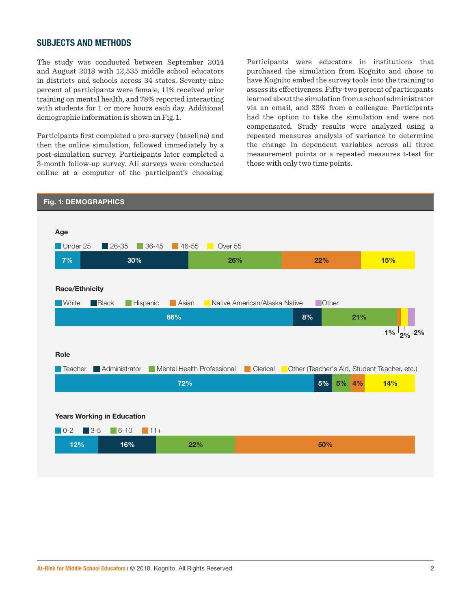## SUBJECTS AND METHODS

The study was conducted between September 2014 and August 2018 with 12,535 middle school educators in districts and schools across 34 states. Seventy-nine percent of participants were female, 11% received prior training on mental health, and 78% reported interacting with students for 1 or more hours each day. Additional demographic information is shown in Fig. 1.

Participants first completed a pre-survey (baseline) and then the online simulation, followed immediately by a post-simulation survey. Participants later completed a 3-month follow-up survey. All surveys were conducted online at a computer of the participant's choosing.

Participants were educators in institutions that purchased the simulation from Kognito and chose to have Kognito embed the survey tools into the training to assess its effectiveness. Fifty-two percent of participants learned about the simulation from a school administrator via an email, and 33% from a colleague. Participants had the option to take the simulation and were not compensated. Study results were analyzed using a repeated measures analysis of variance to determine the change in dependent variables across all three measurement points or a repeated measures t-test for those with only two time points.

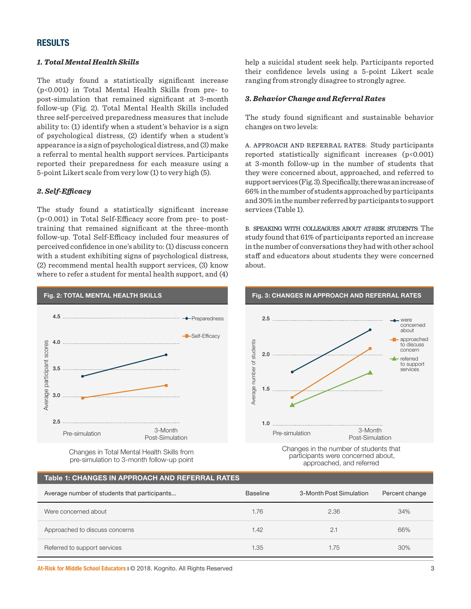## RESULTS

### *1. Total Mental Health Skills*

The study found a statistically significant increase (p<0.001) in Total Mental Health Skills from pre- to post-simulation that remained significant at 3-month follow-up (Fig. 2). Total Mental Health Skills included three self-perceived preparedness measures that include ability to: (1) identify when a student's behavior is a sign of psychological distress, (2) identify when a student's appearance is a sign of psychological distress, and (3) make a referral to mental health support services. Participants reported their preparedness for each measure using a 5-point Likert scale from very low (1) to very high (5).

## *2. Self-Efficacy*

The study found a statistically significant increase (p<0.001) in Total Self-Efficacy score from pre- to posttraining that remained significant at the three-month follow-up. Total Self-Efficacy included four measures of perceived confidence in one's ability to: (1) discuss concern with a student exhibiting signs of psychological distress, (2) recommend mental health support services, (3) know where to refer a student for mental health support, and (4)

help a suicidal student seek help. Participants reported their confidence levels using a 5-point Likert scale ranging from strongly disagree to strongly agree.

## *3. Behavior Change and Referral Rates*

The study found significant and sustainable behavior changes on two levels:

A. APPROACH AND REFERRAL RATES: Study participants reported statistically significant increases  $(p<0.001)$ at 3-month follow-up in the number of students that they were concerned about, approached, and referred to support services (Fig. 3). Specifically, there was an increase of 66% in the number of students approached by participants and 30% in the number referred by participants to support services (Table 1).

B. SPEAKING WITH COLLEAGUES ABOUT AT-RISK STUDENTS: The study found that 61% of participants reported an increase in the number of conversations they had with other school staff and educators about students they were concerned about.



Changes in Total Mental Health Skills from pre-simulation to 3-month follow-up point Changes in the number of students that participants were concerned about, approached, and referred

## Table 1: CHANGES IN APPROACH AND REFERRAL RATES

| Average number of students that participants | <b>Baseline</b> | 3-Month Post Simulation | Percent change |
|----------------------------------------------|-----------------|-------------------------|----------------|
| Were concerned about                         | 1.76            | 2.36                    | 34%            |
| Approached to discuss concerns               | 1.42            | 2.1                     | 66%            |
| Referred to support services                 | 1.35            | 1.75                    | 30%            |